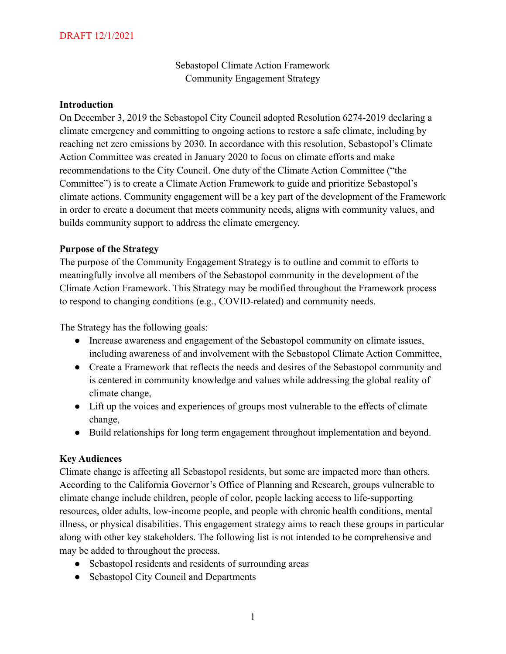Sebastopol Climate Action Framework Community Engagement Strategy

### **Introduction**

On December 3, 2019 the Sebastopol City Council adopted Resolution 6274-2019 declaring a climate emergency and committing to ongoing actions to restore a safe climate, including by reaching net zero emissions by 2030. In accordance with this resolution, Sebastopol's Climate Action Committee was created in January 2020 to focus on climate efforts and make recommendations to the City Council. One duty of the Climate Action Committee ("the Committee") is to create a Climate Action Framework to guide and prioritize Sebastopol's climate actions. Community engagement will be a key part of the development of the Framework in order to create a document that meets community needs, aligns with community values, and builds community support to address the climate emergency.

## **Purpose of the Strategy**

The purpose of the Community Engagement Strategy is to outline and commit to efforts to meaningfully involve all members of the Sebastopol community in the development of the Climate Action Framework. This Strategy may be modified throughout the Framework process to respond to changing conditions (e.g., COVID-related) and community needs.

The Strategy has the following goals:

- Increase awareness and engagement of the Sebastopol community on climate issues, including awareness of and involvement with the Sebastopol Climate Action Committee,
- Create a Framework that reflects the needs and desires of the Sebastopol community and is centered in community knowledge and values while addressing the global reality of climate change,
- Lift up the voices and experiences of groups most vulnerable to the effects of climate change,
- Build relationships for long term engagement throughout implementation and beyond.

## **Key Audiences**

Climate change is affecting all Sebastopol residents, but some are impacted more than others. According to the California Governor's Office of Planning and Research, groups vulnerable to climate change include children, people of color, people lacking access to life-supporting resources, older adults, low-income people, and people with chronic health conditions, mental illness, or physical disabilities. This engagement strategy aims to reach these groups in particular along with other key stakeholders. The following list is not intended to be comprehensive and may be added to throughout the process.

- Sebastopol residents and residents of surrounding areas
- Sebastopol City Council and Departments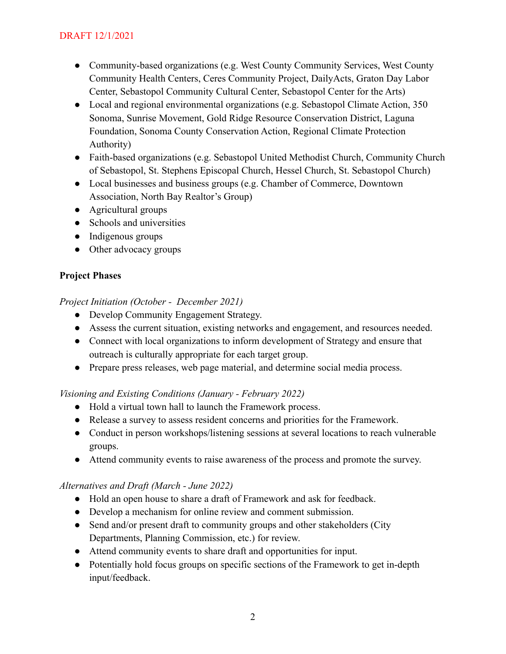- Community-based organizations (e.g. West County Community Services, West County Community Health Centers, Ceres Community Project, DailyActs, Graton Day Labor Center, Sebastopol Community Cultural Center, Sebastopol Center for the Arts)
- Local and regional environmental organizations (e.g. Sebastopol Climate Action, 350 Sonoma, Sunrise Movement, Gold Ridge Resource Conservation District, Laguna Foundation, Sonoma County Conservation Action, Regional Climate Protection Authority)
- Faith-based organizations (e.g. Sebastopol United Methodist Church, Community Church of Sebastopol, St. Stephens Episcopal Church, Hessel Church, St. Sebastopol Church)
- Local businesses and business groups (e.g. Chamber of Commerce, Downtown Association, North Bay Realtor's Group)
- Agricultural groups
- Schools and universities
- Indigenous groups
- Other advocacy groups

# **Project Phases**

## *Project Initiation (October - December 2021)*

- Develop Community Engagement Strategy.
- Assess the current situation, existing networks and engagement, and resources needed.
- Connect with local organizations to inform development of Strategy and ensure that outreach is culturally appropriate for each target group.
- Prepare press releases, web page material, and determine social media process.

## *Visioning and Existing Conditions (January - February 2022)*

- Hold a virtual town hall to launch the Framework process.
- Release a survey to assess resident concerns and priorities for the Framework.
- Conduct in person workshops/listening sessions at several locations to reach vulnerable groups.
- Attend community events to raise awareness of the process and promote the survey.

## *Alternatives and Draft (March - June 2022)*

- Hold an open house to share a draft of Framework and ask for feedback.
- Develop a mechanism for online review and comment submission.
- Send and/or present draft to community groups and other stakeholders (City Departments, Planning Commission, etc.) for review.
- Attend community events to share draft and opportunities for input.
- Potentially hold focus groups on specific sections of the Framework to get in-depth input/feedback.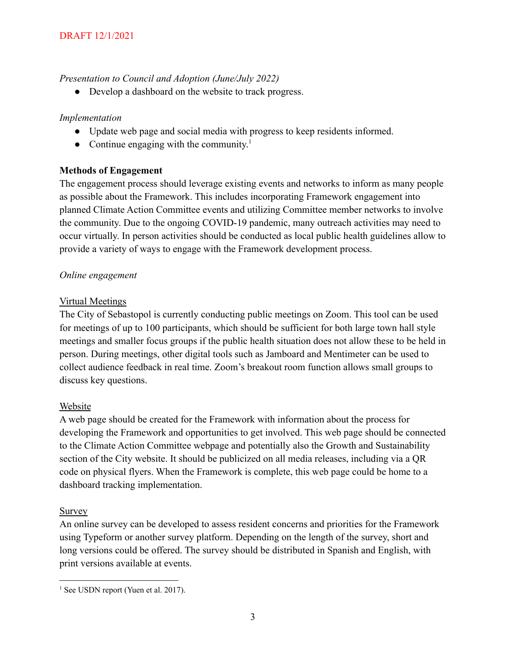## *Presentation to Council and Adoption (June/July 2022)*

• Develop a dashboard on the website to track progress.

# *Implementation*

- Update web page and social media with progress to keep residents informed.
- Continue engaging with the community.<sup>1</sup>

# **Methods of Engagement**

The engagement process should leverage existing events and networks to inform as many people as possible about the Framework. This includes incorporating Framework engagement into planned Climate Action Committee events and utilizing Committee member networks to involve the community. Due to the ongoing COVID-19 pandemic, many outreach activities may need to occur virtually. In person activities should be conducted as local public health guidelines allow to provide a variety of ways to engage with the Framework development process.

# *Online engagement*

# Virtual Meetings

The City of Sebastopol is currently conducting public meetings on Zoom. This tool can be used for meetings of up to 100 participants, which should be sufficient for both large town hall style meetings and smaller focus groups if the public health situation does not allow these to be held in person. During meetings, other digital tools such as Jamboard and Mentimeter can be used to collect audience feedback in real time. Zoom's breakout room function allows small groups to discuss key questions.

## Website

A web page should be created for the Framework with information about the process for developing the Framework and opportunities to get involved. This web page should be connected to the Climate Action Committee webpage and potentially also the Growth and Sustainability section of the City website. It should be publicized on all media releases, including via a QR code on physical flyers. When the Framework is complete, this web page could be home to a dashboard tracking implementation.

## Survey

An online survey can be developed to assess resident concerns and priorities for the Framework using Typeform or another survey platform. Depending on the length of the survey, short and long versions could be offered. The survey should be distributed in Spanish and English, with print versions available at events.

<sup>&</sup>lt;sup>1</sup> See USDN report (Yuen et al. 2017).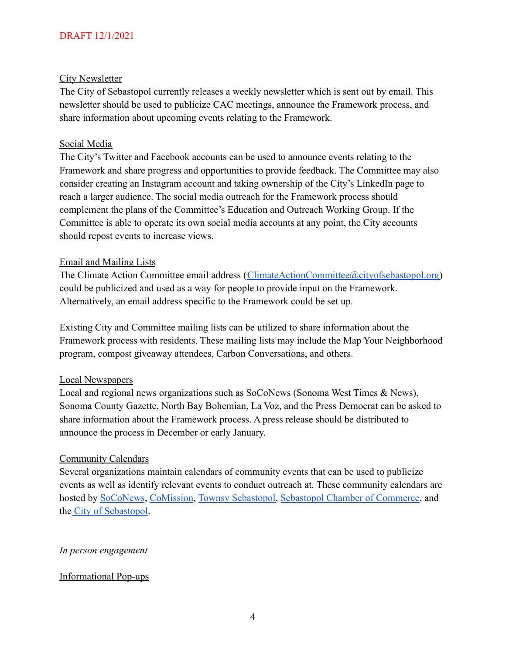### City Newsletter

The City of Sebastopol currently releases a weekly newsletter which is sent out by email. This newsletter should be used to publicize CAC meetings, announce the Framework process, and share information about upcoming events relating to the Framework.

### Social Media

The City's Twitter and Facebook accounts can be used to announce events relating to the Framework and share progress and opportunities to provide feedback. The Committee may also consider creating an Instagram account and taking ownership of the City's LinkedIn page to reach a larger audience. The social media outreach for the Framework process should complement the plans of the Committee's Education and Outreach Working Group. If the Committee is able to operate its own social media accounts at any point, the City accounts should repost events to increase views.

#### Email and Mailing Lists

The Climate Action Committee email address ([ClimateActionCommittee@cityofsebastopol.org\)](mailto:ClimateActionCommittee@cityofsebastopol.org) could be publicized and used as a way for people to provide input on the Framework. Alternatively, an email address specific to the Framework could be set up.

Existing City and Committee mailing lists can be utilized to share information about the Framework process with residents. These mailing lists may include the Map Your Neighborhood program, compost giveaway attendees, Carbon Conversations, and others.

#### Local Newspapers

Local and regional news organizations such as SoCoNews (Sonoma West Times & News), Sonoma County Gazette, North Bay Bohemian, La Voz, and the Press Democrat can be asked to share information about the Framework process. A press release should be distributed to announce the process in December or early January.

#### Community Calendars

Several organizations maintain calendars of community events that can be used to publicize events as well as identify relevant events to conduct outreach at. These community calendars are hosted by [SoCoNews](https://soconews.org/calendar/), [CoMission](https://www.comission.group/sebastopol-communitycalendar), [Townsy Sebastopol,](https://townsyapp.com/events/) [Sebastopol Chamber of Commerce,](https://www.sebastopol.org/events/calendar/) and the [City of Sebastopol.](https://ci.sebastopol.ca.us/Our-Community/Community-Calendar)

#### *In person engagement*

## Informational Pop-ups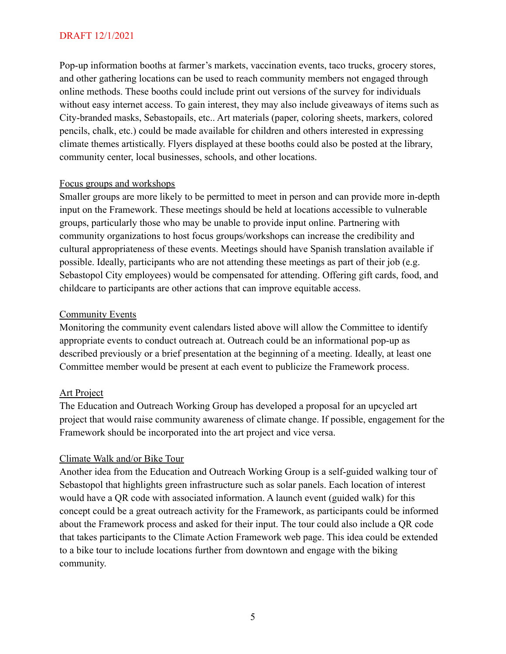Pop-up information booths at farmer's markets, vaccination events, taco trucks, grocery stores, and other gathering locations can be used to reach community members not engaged through online methods. These booths could include print out versions of the survey for individuals without easy internet access. To gain interest, they may also include giveaways of items such as City-branded masks, Sebastopails, etc.. Art materials (paper, coloring sheets, markers, colored pencils, chalk, etc.) could be made available for children and others interested in expressing climate themes artistically. Flyers displayed at these booths could also be posted at the library, community center, local businesses, schools, and other locations.

#### Focus groups and workshops

Smaller groups are more likely to be permitted to meet in person and can provide more in-depth input on the Framework. These meetings should be held at locations accessible to vulnerable groups, particularly those who may be unable to provide input online. Partnering with community organizations to host focus groups/workshops can increase the credibility and cultural appropriateness of these events. Meetings should have Spanish translation available if possible. Ideally, participants who are not attending these meetings as part of their job (e.g. Sebastopol City employees) would be compensated for attending. Offering gift cards, food, and childcare to participants are other actions that can improve equitable access.

#### Community Events

Monitoring the community event calendars listed above will allow the Committee to identify appropriate events to conduct outreach at. Outreach could be an informational pop-up as described previously or a brief presentation at the beginning of a meeting. Ideally, at least one Committee member would be present at each event to publicize the Framework process.

#### Art Project

The Education and Outreach Working Group has developed a proposal for an upcycled art project that would raise community awareness of climate change. If possible, engagement for the Framework should be incorporated into the art project and vice versa.

#### Climate Walk and/or Bike Tour

Another idea from the Education and Outreach Working Group is a self-guided walking tour of Sebastopol that highlights green infrastructure such as solar panels. Each location of interest would have a QR code with associated information. A launch event (guided walk) for this concept could be a great outreach activity for the Framework, as participants could be informed about the Framework process and asked for their input. The tour could also include a QR code that takes participants to the Climate Action Framework web page. This idea could be extended to a bike tour to include locations further from downtown and engage with the biking community.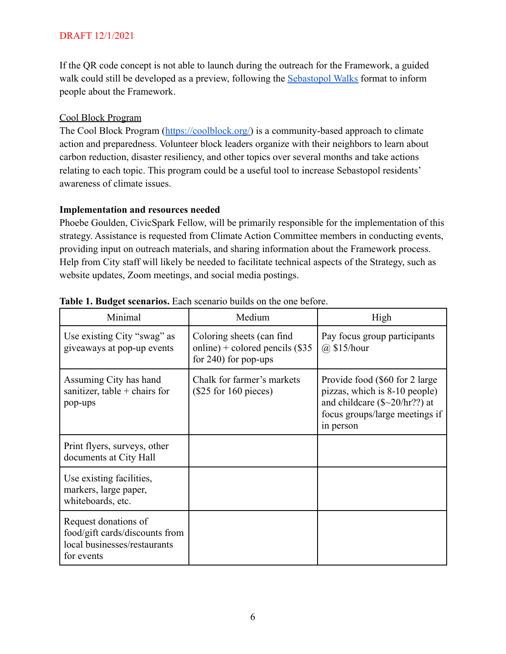If the QR code concept is not able to launch during the outreach for the Framework, a guided walk could still be developed as a preview, following the [Sebastopol Walks](https://ci.sebastopol.ca.us/Our-Community/Growth-Sustainability/Walk-Sebastopol) format to inform people about the Framework.

### Cool Block Program

The Cool Block Program ([https://coolblock.org/\)](https://coolblock.org/) is a community-based approach to climate action and preparedness. Volunteer block leaders organize with their neighbors to learn about carbon reduction, disaster resiliency, and other topics over several months and take actions relating to each topic. This program could be a useful tool to increase Sebastopol residents' awareness of climate issues.

#### **Implementation and resources needed**

Phoebe Goulden, CivicSpark Fellow, will be primarily responsible for the implementation of this strategy. Assistance is requested from Climate Action Committee members in conducting events, providing input on outreach materials, and sharing information about the Framework process. Help from City staff will likely be needed to facilitate technical aspects of the Strategy, such as website updates, Zoom meetings, and social media postings.

| Minimal                                                                                              | Medium                                                                                    | High                                                                                                                                                 |
|------------------------------------------------------------------------------------------------------|-------------------------------------------------------------------------------------------|------------------------------------------------------------------------------------------------------------------------------------------------------|
| Use existing City "swag" as<br>give aways at pop-up events                                           | Coloring sheets (can find<br>online) + colored pencils $(\$35$<br>for $240$ ) for pop-ups | Pay focus group participants<br>$(a)$ \$15/hour                                                                                                      |
| Assuming City has hand<br>sanitizer, table $+$ chairs for<br>pop-ups                                 | Chalk for farmer's markets<br>$(\$25$ for 160 pieces)                                     | Provide food (\$60 for 2 large)<br>pizzas, which is 8-10 people)<br>and childcare $(\$sim20/hr??)$ at<br>focus groups/large meetings if<br>in person |
| Print flyers, surveys, other<br>documents at City Hall                                               |                                                                                           |                                                                                                                                                      |
| Use existing facilities,<br>markers, large paper,<br>whiteboards, etc.                               |                                                                                           |                                                                                                                                                      |
| Request donations of<br>food/gift cards/discounts from<br>local businesses/restaurants<br>for events |                                                                                           |                                                                                                                                                      |

#### **Table 1. Budget scenarios.** Each scenario builds on the one before.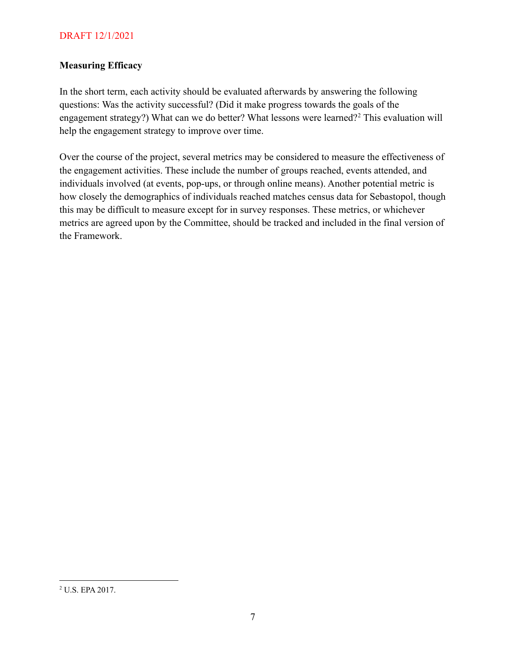### **Measuring Efficacy**

In the short term, each activity should be evaluated afterwards by answering the following questions: Was the activity successful? (Did it make progress towards the goals of the engagement strategy?) What can we do better? What lessons were learned?<sup>2</sup> This evaluation will help the engagement strategy to improve over time.

Over the course of the project, several metrics may be considered to measure the effectiveness of the engagement activities. These include the number of groups reached, events attended, and individuals involved (at events, pop-ups, or through online means). Another potential metric is how closely the demographics of individuals reached matches census data for Sebastopol, though this may be difficult to measure except for in survey responses. These metrics, or whichever metrics are agreed upon by the Committee, should be tracked and included in the final version of the Framework.

<sup>2</sup> U.S. EPA 2017.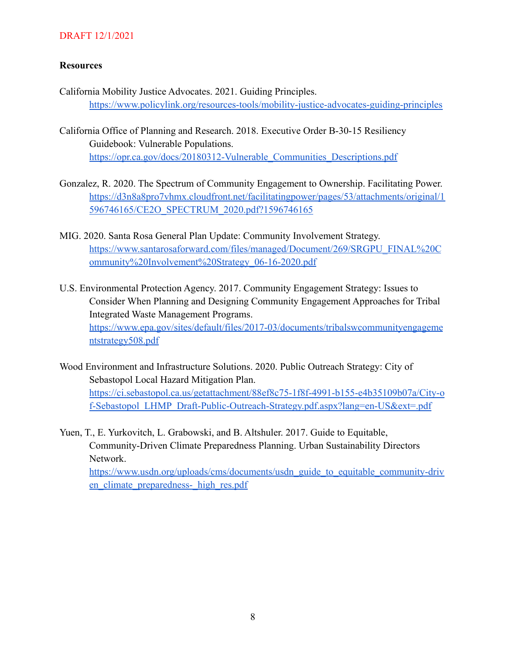## **Resources**

- California Mobility Justice Advocates. 2021. Guiding Principles. <https://www.policylink.org/resources-tools/mobility-justice-advocates-guiding-principles>
- California Office of Planning and Research. 2018. Executive Order B-30-15 Resiliency Guidebook: Vulnerable Populations. [https://opr.ca.gov/docs/20180312-Vulnerable\\_Communities\\_Descriptions.pdf](https://opr.ca.gov/docs/20180312-Vulnerable_Communities_Descriptions.pdf)
- Gonzalez, R. 2020. The Spectrum of Community Engagement to Ownership. Facilitating Power. [https://d3n8a8pro7vhmx.cloudfront.net/facilitatingpower/pages/53/attachments/original/1](https://d3n8a8pro7vhmx.cloudfront.net/facilitatingpower/pages/53/attachments/original/1596746165/CE2O_SPECTRUM_2020.pdf?1596746165) [596746165/CE2O\\_SPECTRUM\\_2020.pdf?1596746165](https://d3n8a8pro7vhmx.cloudfront.net/facilitatingpower/pages/53/attachments/original/1596746165/CE2O_SPECTRUM_2020.pdf?1596746165)
- MIG. 2020. Santa Rosa General Plan Update: Community Involvement Strategy. [https://www.santarosaforward.com/files/managed/Document/269/SRGPU\\_FINAL%20C](https://www.santarosaforward.com/files/managed/Document/269/SRGPU_FINAL%20Community%20Involvement%20Strategy_06-16-2020.pdf) [ommunity%20Involvement%20Strategy\\_06-16-2020.pdf](https://www.santarosaforward.com/files/managed/Document/269/SRGPU_FINAL%20Community%20Involvement%20Strategy_06-16-2020.pdf)
- U.S. Environmental Protection Agency. 2017. Community Engagement Strategy: Issues to Consider When Planning and Designing Community Engagement Approaches for Tribal Integrated Waste Management Programs. [https://www.epa.gov/sites/default/files/2017-03/documents/tribalswcommunityengageme](https://www.epa.gov/sites/default/files/2017-03/documents/tribalswcommunityengagementstrategy508.pdf) [ntstrategy508.pdf](https://www.epa.gov/sites/default/files/2017-03/documents/tribalswcommunityengagementstrategy508.pdf)
- Wood Environment and Infrastructure Solutions. 2020. Public Outreach Strategy: City of Sebastopol Local Hazard Mitigation Plan. [https://ci.sebastopol.ca.us/getattachment/88ef8c75-1f8f-4991-b155-e4b35109b07a/City-o](https://ci.sebastopol.ca.us/getattachment/88ef8c75-1f8f-4991-b155-e4b35109b07a/City-of-Sebastopol_LHMP_Draft-Public-Outreach-Strategy.pdf.aspx?lang=en-US&ext=.pdf) [f-Sebastopol\\_LHMP\\_Draft-Public-Outreach-Strategy.pdf.aspx?lang=en-US&ext=.pdf](https://ci.sebastopol.ca.us/getattachment/88ef8c75-1f8f-4991-b155-e4b35109b07a/City-of-Sebastopol_LHMP_Draft-Public-Outreach-Strategy.pdf.aspx?lang=en-US&ext=.pdf)
- Yuen, T., E. Yurkovitch, L. Grabowski, and B. Altshuler. 2017. Guide to Equitable, Community-Driven Climate Preparedness Planning. Urban Sustainability Directors Network. [https://www.usdn.org/uploads/cms/documents/usdn\\_guide\\_to\\_equitable\\_community-driv](https://www.usdn.org/uploads/cms/documents/usdn_guide_to_equitable_community-driven_climate_preparedness-_high_res.pdf) en climate preparedness- high res.pdf